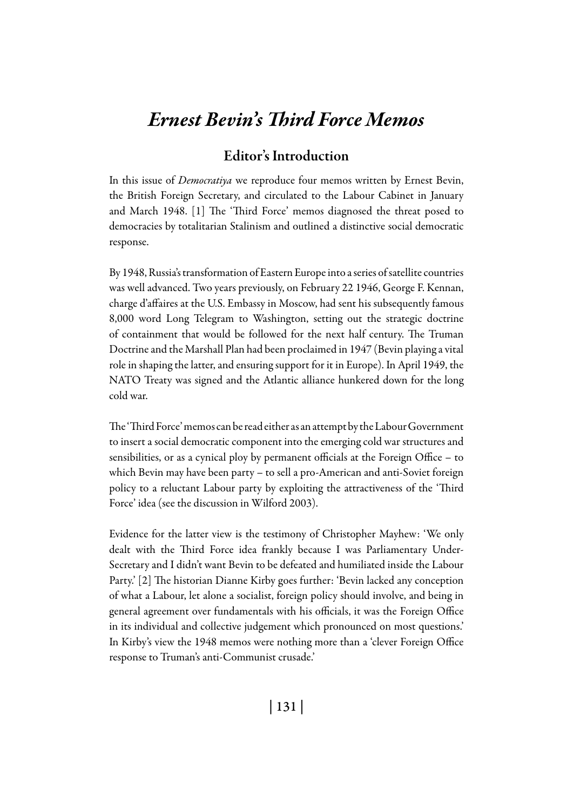# *Ernest Bevin's Third Force Memos*

# Editor's Introduction

In this issue of *Democratiya* we reproduce four memos written by Ernest Bevin, the British Foreign Secretary, and circulated to the Labour Cabinet in January and March 1948. [1] The 'Third Force' memos diagnosed the threat posed to democracies by totalitarian Stalinism and outlined a distinctive social democratic response.

By 1948, Russia's transformation of Eastern Europe into a series of satellite countries was well advanced. Two years previously, on February 22 1946, George F. Kennan, charge d'affaires at the U.S. Embassy in Moscow, had sent his subsequently famous 8,000 word Long Telegram to Washington, setting out the strategic doctrine of containment that would be followed for the next half century. The Truman Doctrine and the Marshall Plan had been proclaimed in 1947 (Bevin playing a vital role in shaping the latter, and ensuring support for it in Europe). In April 1949, the NATO Treaty was signed and the Atlantic alliance hunkered down for the long cold war.

The 'Third Force' memos can be read either as an attempt by the Labour Government to insert a social democratic component into the emerging cold war structures and sensibilities, or as a cynical ploy by permanent officials at the Foreign Office – to which Bevin may have been party – to sell a pro-American and anti-Soviet foreign policy to a reluctant Labour party by exploiting the attractiveness of the 'Third Force' idea (see the discussion in Wilford 2003).

Evidence for the latter view is the testimony of Christopher Mayhew: 'We only dealt with the Third Force idea frankly because I was Parliamentary Under-Secretary and I didn't want Bevin to be defeated and humiliated inside the Labour Party.' [2] The historian Dianne Kirby goes further: 'Bevin lacked any conception of what a Labour, let alone a socialist, foreign policy should involve, and being in general agreement over fundamentals with his officials, it was the Foreign Office in its individual and collective judgement which pronounced on most questions.' In Kirby's view the 1948 memos were nothing more than a 'clever Foreign Office response to Truman's anti-Communist crusade.'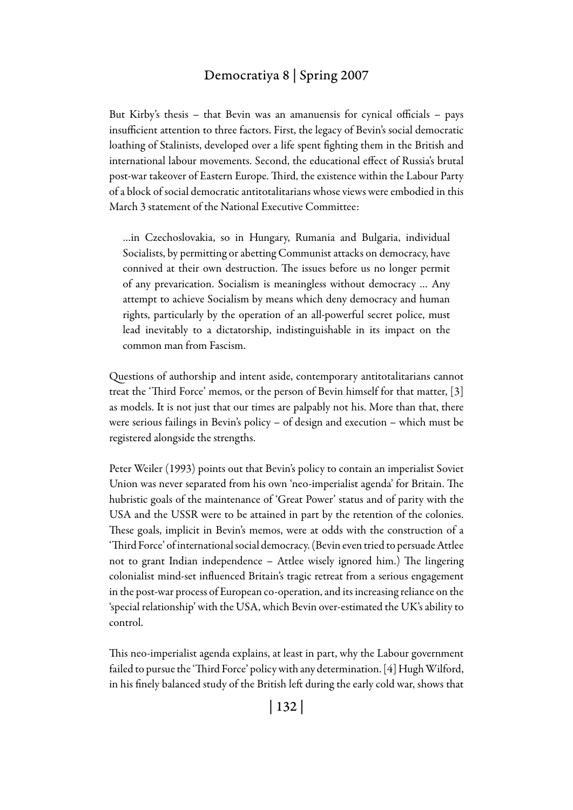But Kirby's thesis – that Bevin was an amanuensis for cynical officials – pays insufficient attention to three factors. First, the legacy of Bevin's social democratic loathing of Stalinists, developed over a life spent fighting them in the British and international labour movements. Second, the educational effect of Russia's brutal post-war takeover of Eastern Europe. Third, the existence within the Labour Party of a block of social democratic antitotalitarians whose views were embodied in this March 3 statement of the National Executive Committee:

…in Czechoslovakia, so in Hungary, Rumania and Bulgaria, individual Socialists, by permitting or abetting Communist attacks on democracy, have connived at their own destruction. The issues before us no longer permit of any prevarication. Socialism is meaningless without democracy … Any attempt to achieve Socialism by means which deny democracy and human rights, particularly by the operation of an all-powerful secret police, must lead inevitably to a dictatorship, indistinguishable in its impact on the common man from Fascism.

Questions of authorship and intent aside, contemporary antitotalitarians cannot treat the 'Third Force' memos, or the person of Bevin himself for that matter, [3] as models. It is not just that our times are palpably not his. More than that, there were serious failings in Bevin's policy – of design and execution – which must be registered alongside the strengths.

Peter Weiler (1993) points out that Bevin's policy to contain an imperialist Soviet Union was never separated from his own 'neo-imperialist agenda' for Britain. The hubristic goals of the maintenance of 'Great Power' status and of parity with the USA and the USSR were to be attained in part by the retention of the colonies. These goals, implicit in Bevin's memos, were at odds with the construction of a 'Third Force' of international social democracy. (Bevin even tried to persuade Attlee not to grant Indian independence – Attlee wisely ignored him.) The lingering colonialist mind-set influenced Britain's tragic retreat from a serious engagement in the post-war process of European co-operation, and its increasing reliance on the 'special relationship' with the USA, which Bevin over-estimated the UK's ability to control.

This neo-imperialist agenda explains, at least in part, why the Labour government failed to pursue the 'Third Force' policy with any determination. [4] Hugh Wilford, in his finely balanced study of the British left during the early cold war, shows that

| 132 |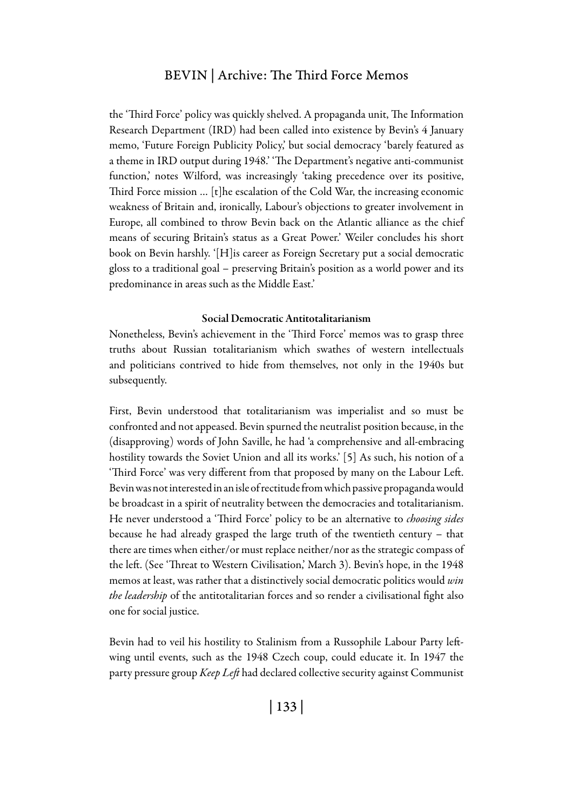the 'Third Force' policy was quickly shelved. A propaganda unit, The Information Research Department (IRD) had been called into existence by Bevin's 4 January memo, 'Future Foreign Publicity Policy,' but social democracy 'barely featured as a theme in IRD output during 1948.' 'The Department's negative anti-communist function,' notes Wilford, was increasingly 'taking precedence over its positive, Third Force mission … [t]he escalation of the Cold War, the increasing economic weakness of Britain and, ironically, Labour's objections to greater involvement in Europe, all combined to throw Bevin back on the Atlantic alliance as the chief means of securing Britain's status as a Great Power.' Weiler concludes his short book on Bevin harshly. '[H]is career as Foreign Secretary put a social democratic gloss to a traditional goal – preserving Britain's position as a world power and its predominance in areas such as the Middle East.'

#### Social Democratic Antitotalitarianism

Nonetheless, Bevin's achievement in the 'Third Force' memos was to grasp three truths about Russian totalitarianism which swathes of western intellectuals and politicians contrived to hide from themselves, not only in the 1940s but subsequently.

First, Bevin understood that totalitarianism was imperialist and so must be confronted and not appeased. Bevin spurned the neutralist position because, in the (disapproving) words of John Saville, he had 'a comprehensive and all-embracing hostility towards the Soviet Union and all its works.' [5] As such, his notion of a 'Third Force' was very different from that proposed by many on the Labour Left. Bevin was not interested in an isle of rectitude from which passive propaganda would be broadcast in a spirit of neutrality between the democracies and totalitarianism. He never understood a 'Third Force' policy to be an alternative to *choosing sides* because he had already grasped the large truth of the twentieth century – that there are times when either/or must replace neither/nor as the strategic compass of the left. (See 'Threat to Western Civilisation,' March 3). Bevin's hope, in the 1948 memos at least, was rather that a distinctively social democratic politics would *win the leadership* of the antitotalitarian forces and so render a civilisational fight also one for social justice.

Bevin had to veil his hostility to Stalinism from a Russophile Labour Party leftwing until events, such as the 1948 Czech coup, could educate it. In 1947 the party pressure group *Keep Left* had declared collective security against Communist

| 133 |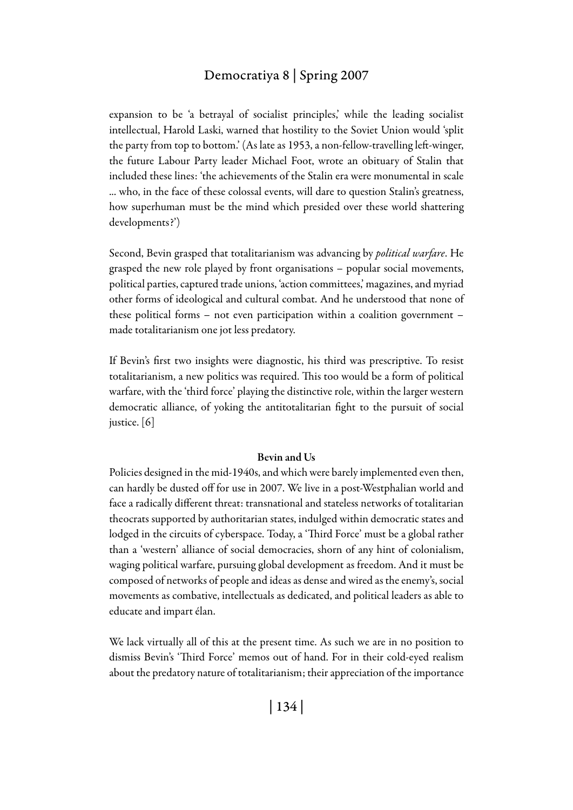expansion to be 'a betrayal of socialist principles,' while the leading socialist intellectual, Harold Laski, warned that hostility to the Soviet Union would 'split the party from top to bottom.' (As late as 1953, a non-fellow-travelling left-winger, the future Labour Party leader Michael Foot, wrote an obituary of Stalin that included these lines: 'the achievements of the Stalin era were monumental in scale ... who, in the face of these colossal events, will dare to question Stalin's greatness, how superhuman must be the mind which presided over these world shattering developments?')

Second, Bevin grasped that totalitarianism was advancing by *political warfare*. He grasped the new role played by front organisations – popular social movements, political parties, captured trade unions, 'action committees,' magazines, and myriad other forms of ideological and cultural combat. And he understood that none of these political forms – not even participation within a coalition government – made totalitarianism one jot less predatory.

If Bevin's first two insights were diagnostic, his third was prescriptive. To resist totalitarianism, a new politics was required. This too would be a form of political warfare, with the 'third force' playing the distinctive role, within the larger western democratic alliance, of yoking the antitotalitarian fight to the pursuit of social justice. [6]

#### Bevin and Us

Policies designed in the mid-1940s, and which were barely implemented even then, can hardly be dusted off for use in 2007. We live in a post-Westphalian world and face a radically different threat: transnational and stateless networks of totalitarian theocrats supported by authoritarian states, indulged within democratic states and lodged in the circuits of cyberspace. Today, a 'Third Force' must be a global rather than a 'western' alliance of social democracies, shorn of any hint of colonialism, waging political warfare, pursuing global development as freedom. And it must be composed of networks of people and ideas as dense and wired as the enemy's, social movements as combative, intellectuals as dedicated, and political leaders as able to educate and impart élan.

We lack virtually all of this at the present time. As such we are in no position to dismiss Bevin's 'Third Force' memos out of hand. For in their cold-eyed realism about the predatory nature of totalitarianism; their appreciation of the importance

| 134 |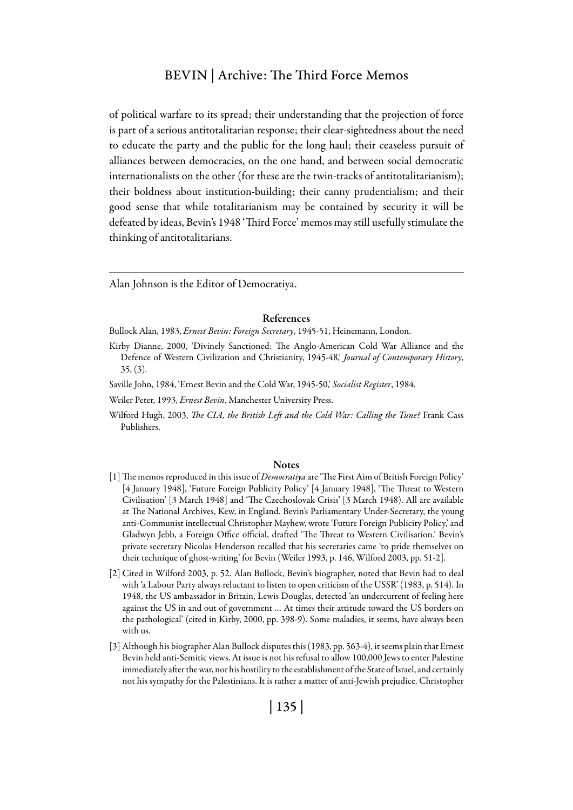#### Bevin | Archive: The Third Force Memos

of political warfare to its spread; their understanding that the projection of force is part of a serious antitotalitarian response; their clear-sightedness about the need to educate the party and the public for the long haul; their ceaseless pursuit of alliances between democracies, on the one hand, and between social democratic internationalists on the other (for these are the twin-tracks of antitotalitarianism); their boldness about institution-building; their canny prudentialism; and their good sense that while totalitarianism may be contained by security it will be defeated by ideas, Bevin's 1948 'Third Force' memos may still usefully stimulate the thinking of antitotalitarians.

Alan Johnson is the Editor of Democratiya.

#### References

Bullock Alan, 1983, *Ernest Bevin: Foreign Secretary*, 1945-51, Heinemann, London.

- Kirby Dianne, 2000, 'Divinely Sanctioned: The Anglo-American Cold War Alliance and the Defence of Western Civilization and Christianity, 1945-48,' *Journal of Contemporary History*, 35, (3).
- Saville John, 1984, 'Ernest Bevin and the Cold War, 1945-50,' *Socialist Register*, 1984.
- Weiler Peter, 1993, *Ernest Bevin*, Manchester University Press.
- Wilford Hugh, 2003, *The CIA, the British Left and the Cold War: Calling the Tune?* Frank Cass Publishers.

#### **Notes**

- [1] The memos reproduced in this issue of *Democratiya* are 'The First Aim of British Foreign Policy' [4 January 1948], 'Future Foreign Publicity Policy' [4 January 1948], 'The Threat to Western Civilisation' [3 March 1948] and 'The Czechoslovak Crisis' [3 March 1948). All are available at The National Archives, Kew, in England. Bevin's Parliamentary Under-Secretary, the young anti-Communist intellectual Christopher Mayhew, wrote 'Future Foreign Publicity Policy,' and Gladwyn Jebb, a Foreign Office official, drafted 'The Threat to Western Civilisation.' Bevin's private secretary Nicolas Henderson recalled that his secretaries came 'to pride themselves on their technique of ghost-writing' for Bevin (Weiler 1993, p. 146, Wilford 2003, pp. 51-2].
- [2] Cited in Wilford 2003, p. 52. Alan Bullock, Bevin's biographer, noted that Bevin had to deal with 'a Labour Party always reluctant to listen to open criticism of the USSR' (1983, p. 514). In 1948, the US ambassador in Britain, Lewis Douglas, detected 'an undercurrent of feeling here against the US in and out of government … At times their attitude toward the US borders on the pathological' (cited in Kirby, 2000, pp. 398-9). Some maladies, it seems, have always been with us.
- [3] Although his biographer Alan Bullock disputes this (1983, pp. 563-4), it seems plain that Ernest Bevin held anti-Semitic views. At issue is not his refusal to allow 100,000 Jews to enter Palestine immediately after the war, nor his hostility to the establishment of the State of Israel, and certainly not his sympathy for the Palestinians. It is rather a matter of anti-Jewish prejudice. Christopher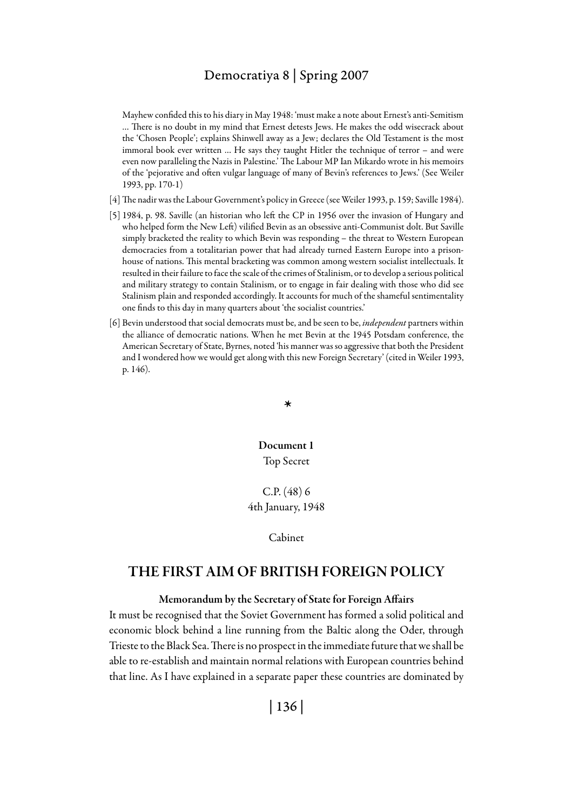Mayhew confided this to his diary in May 1948: 'must make a note about Ernest's anti-Semitism … There is no doubt in my mind that Ernest detests Jews. He makes the odd wisecrack about the 'Chosen People'; explains Shinwell away as a Jew; declares the Old Testament is the most immoral book ever written … He says they taught Hitler the technique of terror – and were even now paralleling the Nazis in Palestine.' The Labour MP Ian Mikardo wrote in his memoirs of the 'pejorative and often vulgar language of many of Bevin's references to Jews.' (See Weiler 1993, pp. 170-1)

- [4] The nadir was the Labour Government's policy in Greece (see Weiler 1993, p. 159; Saville 1984).
- [5] 1984, p. 98. Saville (an historian who left the CP in 1956 over the invasion of Hungary and who helped form the New Left) vilified Bevin as an obsessive anti-Communist dolt. But Saville simply bracketed the reality to which Bevin was responding – the threat to Western European democracies from a totalitarian power that had already turned Eastern Europe into a prisonhouse of nations. This mental bracketing was common among western socialist intellectuals. It resulted in their failure to face the scale of the crimes of Stalinism, or to develop a serious political and military strategy to contain Stalinism, or to engage in fair dealing with those who did see Stalinism plain and responded accordingly. It accounts for much of the shameful sentimentality one finds to this day in many quarters about 'the socialist countries.'
- [6] Bevin understood that social democrats must be, and be seen to be, *independent* partners within the alliance of democratic nations. When he met Bevin at the 1945 Potsdam conference, the American Secretary of State, Byrnes, noted 'his manner was so aggressive that both the President and I wondered how we would get along with this new Foreign Secretary' (cited in Weiler 1993, p. 146).

*\**

#### Document 1 Top Secret

### C.P. (48) 6 4th January, 1948

#### Cabinet

### THE FIRST AIM OF BRITISH FOREIGN POLICY

#### Memorandum by the Secretary of State for Foreign Affairs

It must be recognised that the Soviet Government has formed a solid political and economic block behind a line running from the Baltic along the Oder, through Trieste to the Black Sea. There is no prospect in the immediate future that we shall be able to re-establish and maintain normal relations with European countries behind that line. As I have explained in a separate paper these countries are dominated by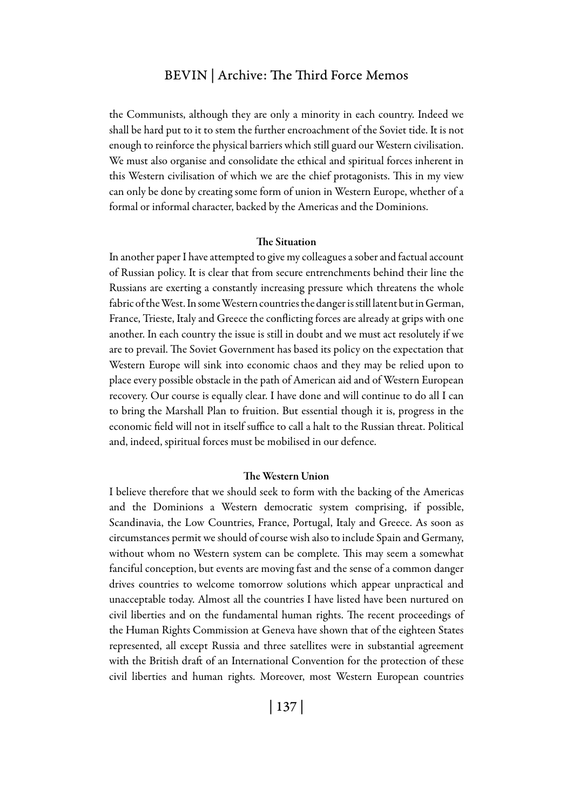the Communists, although they are only a minority in each country. Indeed we shall be hard put to it to stem the further encroachment of the Soviet tide. It is not enough to reinforce the physical barriers which still guard our Western civilisation. We must also organise and consolidate the ethical and spiritual forces inherent in this Western civilisation of which we are the chief protagonists. This in my view can only be done by creating some form of union in Western Europe, whether of a formal or informal character, backed by the Americas and the Dominions.

#### The Situation

In another paper I have attempted to give my colleagues a sober and factual account of Russian policy. It is clear that from secure entrenchments behind their line the Russians are exerting a constantly increasing pressure which threatens the whole fabric of the West. In some Western countries the danger is still latent but in German, France, Trieste, Italy and Greece the conflicting forces are already at grips with one another. In each country the issue is still in doubt and we must act resolutely if we are to prevail. The Soviet Government has based its policy on the expectation that Western Europe will sink into economic chaos and they may be relied upon to place every possible obstacle in the path of American aid and of Western European recovery. Our course is equally clear. I have done and will continue to do all I can to bring the Marshall Plan to fruition. But essential though it is, progress in the economic field will not in itself suffice to call a halt to the Russian threat. Political and, indeed, spiritual forces must be mobilised in our defence.

#### The Western Union

I believe therefore that we should seek to form with the backing of the Americas and the Dominions a Western democratic system comprising, if possible, Scandinavia, the Low Countries, France, Portugal, Italy and Greece. As soon as circumstances permit we should of course wish also to include Spain and Germany, without whom no Western system can be complete. This may seem a somewhat fanciful conception, but events are moving fast and the sense of a common danger drives countries to welcome tomorrow solutions which appear unpractical and unacceptable today. Almost all the countries I have listed have been nurtured on civil liberties and on the fundamental human rights. The recent proceedings of the Human Rights Commission at Geneva have shown that of the eighteen States represented, all except Russia and three satellites were in substantial agreement with the British draft of an International Convention for the protection of these civil liberties and human rights. Moreover, most Western European countries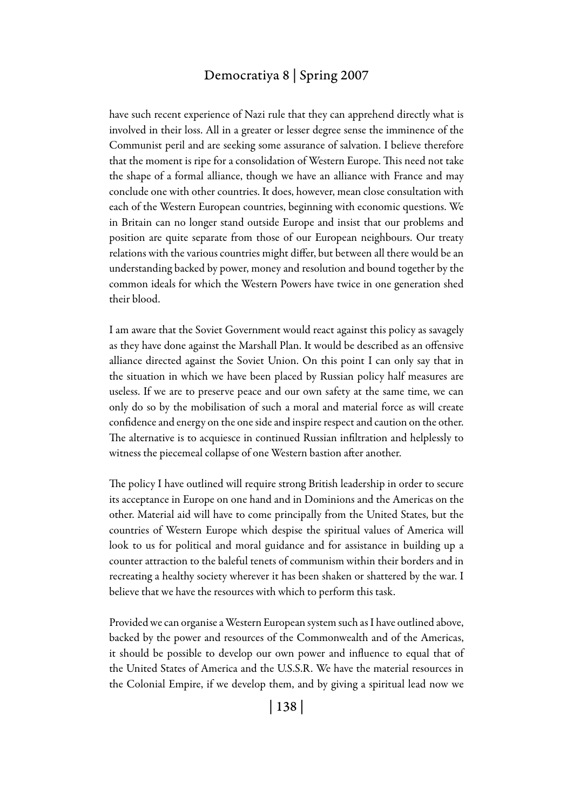have such recent experience of Nazi rule that they can apprehend directly what is involved in their loss. All in a greater or lesser degree sense the imminence of the Communist peril and are seeking some assurance of salvation. I believe therefore that the moment is ripe for a consolidation of Western Europe. This need not take the shape of a formal alliance, though we have an alliance with France and may conclude one with other countries. It does, however, mean close consultation with each of the Western European countries, beginning with economic questions. We in Britain can no longer stand outside Europe and insist that our problems and position are quite separate from those of our European neighbours. Our treaty relations with the various countries might differ, but between all there would be an understanding backed by power, money and resolution and bound together by the common ideals for which the Western Powers have twice in one generation shed their blood.

I am aware that the Soviet Government would react against this policy as savagely as they have done against the Marshall Plan. It would be described as an offensive alliance directed against the Soviet Union. On this point I can only say that in the situation in which we have been placed by Russian policy half measures are useless. If we are to preserve peace and our own safety at the same time, we can only do so by the mobilisation of such a moral and material force as will create confidence and energy on the one side and inspire respect and caution on the other. The alternative is to acquiesce in continued Russian infiltration and helplessly to witness the piecemeal collapse of one Western bastion after another.

The policy I have outlined will require strong British leadership in order to secure its acceptance in Europe on one hand and in Dominions and the Americas on the other. Material aid will have to come principally from the United States, but the countries of Western Europe which despise the spiritual values of America will look to us for political and moral guidance and for assistance in building up a counter attraction to the baleful tenets of communism within their borders and in recreating a healthy society wherever it has been shaken or shattered by the war. I believe that we have the resources with which to perform this task.

Provided we can organise a Western European system such as I have outlined above, backed by the power and resources of the Commonwealth and of the Americas, it should be possible to develop our own power and influence to equal that of the United States of America and the U.S.S.R. We have the material resources in the Colonial Empire, if we develop them, and by giving a spiritual lead now we

| 138 |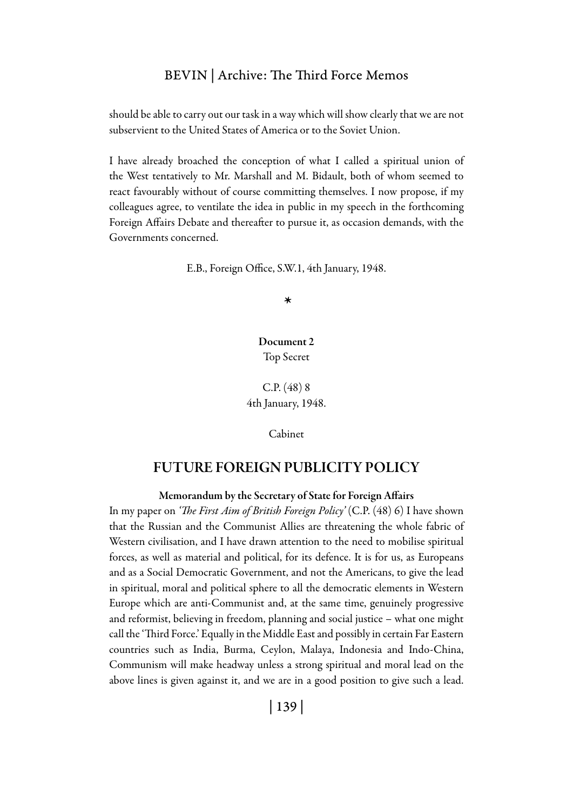should be able to carry out our task in a way which will show clearly that we are not subservient to the United States of America or to the Soviet Union.

I have already broached the conception of what I called a spiritual union of the West tentatively to Mr. Marshall and M. Bidault, both of whom seemed to react favourably without of course committing themselves. I now propose, if my colleagues agree, to ventilate the idea in public in my speech in the forthcoming Foreign Affairs Debate and thereafter to pursue it, as occasion demands, with the Governments concerned.

E.B., Foreign Office, S.W.1, 4th January, 1948.

*\**

Document 2 Top Secret

C.P. (48) 8 4th January, 1948.

Cabinet

#### FUTURE FOREIGN PUBLICITY POLICY

#### Memorandum by the Secretary of State for Foreign Affairs

In my paper on *'The First Aim of British Foreign Policy'* (C.P. (48) 6) I have shown that the Russian and the Communist Allies are threatening the whole fabric of Western civilisation, and I have drawn attention to the need to mobilise spiritual forces, as well as material and political, for its defence. It is for us, as Europeans and as a Social Democratic Government, and not the Americans, to give the lead in spiritual, moral and political sphere to all the democratic elements in Western Europe which are anti-Communist and, at the same time, genuinely progressive and reformist, believing in freedom, planning and social justice – what one might call the 'Third Force.' Equally in the Middle East and possibly in certain Far Eastern countries such as India, Burma, Ceylon, Malaya, Indonesia and Indo-China, Communism will make headway unless a strong spiritual and moral lead on the above lines is given against it, and we are in a good position to give such a lead.

| 139 |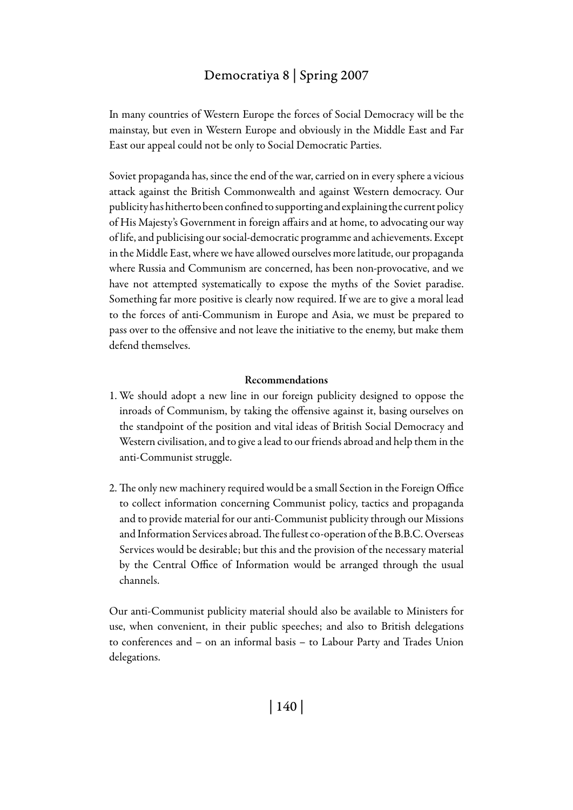In many countries of Western Europe the forces of Social Democracy will be the mainstay, but even in Western Europe and obviously in the Middle East and Far East our appeal could not be only to Social Democratic Parties.

Soviet propaganda has, since the end of the war, carried on in every sphere a vicious attack against the British Commonwealth and against Western democracy. Our publicity has hitherto been confined to supporting and explaining the current policy of His Majesty's Government in foreign affairs and at home, to advocating our way of life, and publicising our social-democratic programme and achievements. Except in the Middle East, where we have allowed ourselves more latitude, our propaganda where Russia and Communism are concerned, has been non-provocative, and we have not attempted systematically to expose the myths of the Soviet paradise. Something far more positive is clearly now required. If we are to give a moral lead to the forces of anti-Communism in Europe and Asia, we must be prepared to pass over to the offensive and not leave the initiative to the enemy, but make them defend themselves.

#### Recommendations

- 1. We should adopt a new line in our foreign publicity designed to oppose the inroads of Communism, by taking the offensive against it, basing ourselves on the standpoint of the position and vital ideas of British Social Democracy and Western civilisation, and to give a lead to our friends abroad and help them in the anti-Communist struggle.
- 2. The only new machinery required would be a small Section in the Foreign Office to collect information concerning Communist policy, tactics and propaganda and to provide material for our anti-Communist publicity through our Missions and Information Services abroad. The fullest co-operation of the B.B.C. Overseas Services would be desirable; but this and the provision of the necessary material by the Central Office of Information would be arranged through the usual channels.

Our anti-Communist publicity material should also be available to Ministers for use, when convenient, in their public speeches; and also to British delegations to conferences and – on an informal basis – to Labour Party and Trades Union delegations.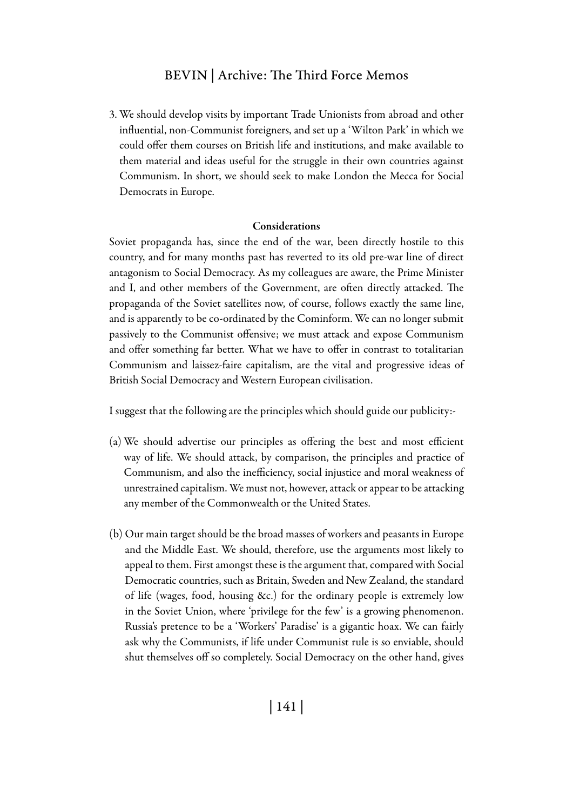3. We should develop visits by important Trade Unionists from abroad and other influential, non-Communist foreigners, and set up a 'Wilton Park' in which we could offer them courses on British life and institutions, and make available to them material and ideas useful for the struggle in their own countries against Communism. In short, we should seek to make London the Mecca for Social Democrats in Europe.

#### Considerations

Soviet propaganda has, since the end of the war, been directly hostile to this country, and for many months past has reverted to its old pre-war line of direct antagonism to Social Democracy. As my colleagues are aware, the Prime Minister and I, and other members of the Government, are often directly attacked. The propaganda of the Soviet satellites now, of course, follows exactly the same line, and is apparently to be co-ordinated by the Cominform. We can no longer submit passively to the Communist offensive; we must attack and expose Communism and offer something far better. What we have to offer in contrast to totalitarian Communism and laissez-faire capitalism, are the vital and progressive ideas of British Social Democracy and Western European civilisation.

I suggest that the following are the principles which should guide our publicity:-

- (a) We should advertise our principles as offering the best and most efficient way of life. We should attack, by comparison, the principles and practice of Communism, and also the inefficiency, social injustice and moral weakness of unrestrained capitalism. We must not, however, attack or appear to be attacking any member of the Commonwealth or the United States.
- (b) Our main target should be the broad masses of workers and peasants in Europe and the Middle East. We should, therefore, use the arguments most likely to appeal to them. First amongst these is the argument that, compared with Social Democratic countries, such as Britain, Sweden and New Zealand, the standard of life (wages, food, housing &c.) for the ordinary people is extremely low in the Soviet Union, where 'privilege for the few' is a growing phenomenon. Russia's pretence to be a 'Workers' Paradise' is a gigantic hoax. We can fairly ask why the Communists, if life under Communist rule is so enviable, should shut themselves off so completely. Social Democracy on the other hand, gives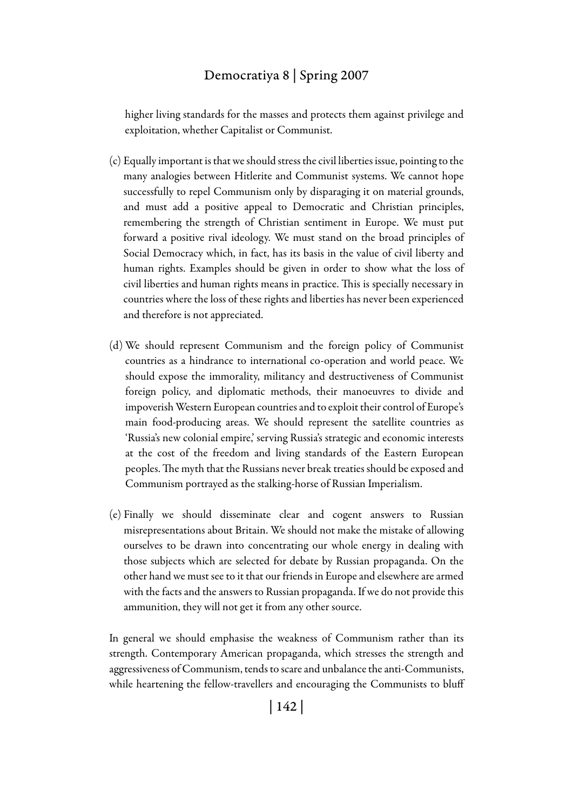higher living standards for the masses and protects them against privilege and exploitation, whether Capitalist or Communist.

- (c) Equally important is that we should stress the civil liberties issue, pointing to the many analogies between Hitlerite and Communist systems. We cannot hope successfully to repel Communism only by disparaging it on material grounds, and must add a positive appeal to Democratic and Christian principles, remembering the strength of Christian sentiment in Europe. We must put forward a positive rival ideology. We must stand on the broad principles of Social Democracy which, in fact, has its basis in the value of civil liberty and human rights. Examples should be given in order to show what the loss of civil liberties and human rights means in practice. This is specially necessary in countries where the loss of these rights and liberties has never been experienced and therefore is not appreciated.
- (d) We should represent Communism and the foreign policy of Communist countries as a hindrance to international co-operation and world peace. We should expose the immorality, militancy and destructiveness of Communist foreign policy, and diplomatic methods, their manoeuvres to divide and impoverish Western European countries and to exploit their control of Europe's main food-producing areas. We should represent the satellite countries as 'Russia's new colonial empire,' serving Russia's strategic and economic interests at the cost of the freedom and living standards of the Eastern European peoples. The myth that the Russians never break treaties should be exposed and Communism portrayed as the stalking-horse of Russian Imperialism.
- (e) Finally we should disseminate clear and cogent answers to Russian misrepresentations about Britain. We should not make the mistake of allowing ourselves to be drawn into concentrating our whole energy in dealing with those subjects which are selected for debate by Russian propaganda. On the other hand we must see to it that our friends in Europe and elsewhere are armed with the facts and the answers to Russian propaganda. If we do not provide this ammunition, they will not get it from any other source.

In general we should emphasise the weakness of Communism rather than its strength. Contemporary American propaganda, which stresses the strength and aggressiveness of Communism, tends to scare and unbalance the anti-Communists, while heartening the fellow-travellers and encouraging the Communists to bluff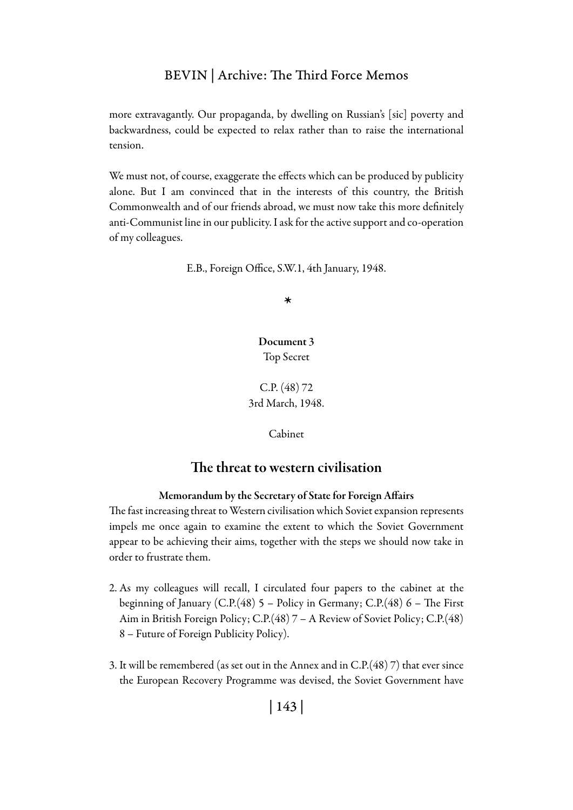### Bevin | Archive: The Third Force Memos

more extravagantly. Our propaganda, by dwelling on Russian's [sic] poverty and backwardness, could be expected to relax rather than to raise the international tension.

We must not, of course, exaggerate the effects which can be produced by publicity alone. But I am convinced that in the interests of this country, the British Commonwealth and of our friends abroad, we must now take this more definitely anti-Communist line in our publicity. I ask for the active support and co-operation of my colleagues.

E.B., Foreign Office, S.W.1, 4th January, 1948.

*\**

Document 3 Top Secret

C.P. (48) 72 3rd March, 1948.

Cabinet

#### The threat to western civilisation

#### Memorandum by the Secretary of State for Foreign Affairs

The fast increasing threat to Western civilisation which Soviet expansion represents impels me once again to examine the extent to which the Soviet Government appear to be achieving their aims, together with the steps we should now take in order to frustrate them.

- 2. As my colleagues will recall, I circulated four papers to the cabinet at the beginning of January (C.P.(48)  $5$  – Policy in Germany; C.P.(48)  $6$  – The First Aim in British Foreign Policy; C.P.(48) 7 – A Review of Soviet Policy; C.P.(48) 8 – Future of Foreign Publicity Policy).
- 3. It will be remembered (as set out in the Annex and in C.P.(48) 7) that ever since the European Recovery Programme was devised, the Soviet Government have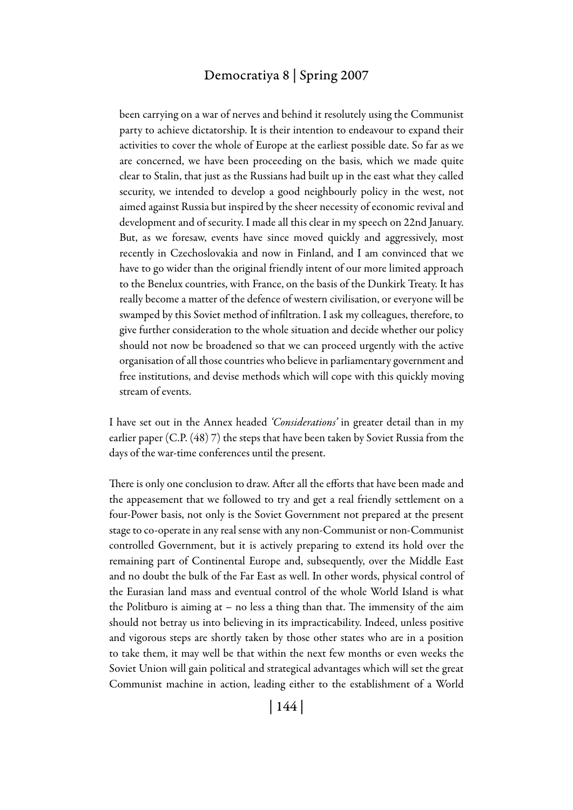been carrying on a war of nerves and behind it resolutely using the Communist party to achieve dictatorship. It is their intention to endeavour to expand their activities to cover the whole of Europe at the earliest possible date. So far as we are concerned, we have been proceeding on the basis, which we made quite clear to Stalin, that just as the Russians had built up in the east what they called security, we intended to develop a good neighbourly policy in the west, not aimed against Russia but inspired by the sheer necessity of economic revival and development and of security. I made all this clear in my speech on 22nd January. But, as we foresaw, events have since moved quickly and aggressively, most recently in Czechoslovakia and now in Finland, and I am convinced that we have to go wider than the original friendly intent of our more limited approach to the Benelux countries, with France, on the basis of the Dunkirk Treaty. It has really become a matter of the defence of western civilisation, or everyone will be swamped by this Soviet method of infiltration. I ask my colleagues, therefore, to give further consideration to the whole situation and decide whether our policy should not now be broadened so that we can proceed urgently with the active organisation of all those countries who believe in parliamentary government and free institutions, and devise methods which will cope with this quickly moving stream of events.

I have set out in the Annex headed *'Considerations'* in greater detail than in my earlier paper (C.P. (48) 7) the steps that have been taken by Soviet Russia from the days of the war-time conferences until the present.

There is only one conclusion to draw. After all the efforts that have been made and the appeasement that we followed to try and get a real friendly settlement on a four-Power basis, not only is the Soviet Government not prepared at the present stage to co-operate in any real sense with any non-Communist or non-Communist controlled Government, but it is actively preparing to extend its hold over the remaining part of Continental Europe and, subsequently, over the Middle East and no doubt the bulk of the Far East as well. In other words, physical control of the Eurasian land mass and eventual control of the whole World Island is what the Politburo is aiming at – no less a thing than that. The immensity of the aim should not betray us into believing in its impracticability. Indeed, unless positive and vigorous steps are shortly taken by those other states who are in a position to take them, it may well be that within the next few months or even weeks the Soviet Union will gain political and strategical advantages which will set the great Communist machine in action, leading either to the establishment of a World

| 144 |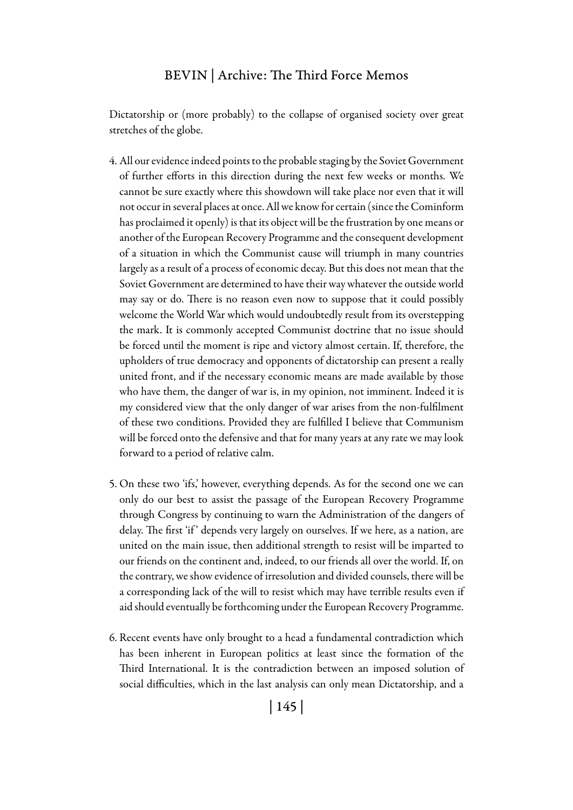### Bevin | Archive: The Third Force Memos

Dictatorship or (more probably) to the collapse of organised society over great stretches of the globe.

- 4. All our evidence indeed points to the probable staging by the Soviet Government of further efforts in this direction during the next few weeks or months. We cannot be sure exactly where this showdown will take place nor even that it will not occur in several places at once. All we know for certain (since the Cominform has proclaimed it openly) is that its object will be the frustration by one means or another of the European Recovery Programme and the consequent development of a situation in which the Communist cause will triumph in many countries largely as a result of a process of economic decay. But this does not mean that the Soviet Government are determined to have their way whatever the outside world may say or do. There is no reason even now to suppose that it could possibly welcome the World War which would undoubtedly result from its overstepping the mark. It is commonly accepted Communist doctrine that no issue should be forced until the moment is ripe and victory almost certain. If, therefore, the upholders of true democracy and opponents of dictatorship can present a really united front, and if the necessary economic means are made available by those who have them, the danger of war is, in my opinion, not imminent. Indeed it is my considered view that the only danger of war arises from the non-fulfilment of these two conditions. Provided they are fulfilled I believe that Communism will be forced onto the defensive and that for many years at any rate we may look forward to a period of relative calm.
- 5. On these two 'ifs,' however, everything depends. As for the second one we can only do our best to assist the passage of the European Recovery Programme through Congress by continuing to warn the Administration of the dangers of delay. The first 'if' depends very largely on ourselves. If we here, as a nation, are united on the main issue, then additional strength to resist will be imparted to our friends on the continent and, indeed, to our friends all over the world. If, on the contrary, we show evidence of irresolution and divided counsels, there will be a corresponding lack of the will to resist which may have terrible results even if aid should eventually be forthcoming under the European Recovery Programme.
- 6. Recent events have only brought to a head a fundamental contradiction which has been inherent in European politics at least since the formation of the Third International. It is the contradiction between an imposed solution of social difficulties, which in the last analysis can only mean Dictatorship, and a

| 145 |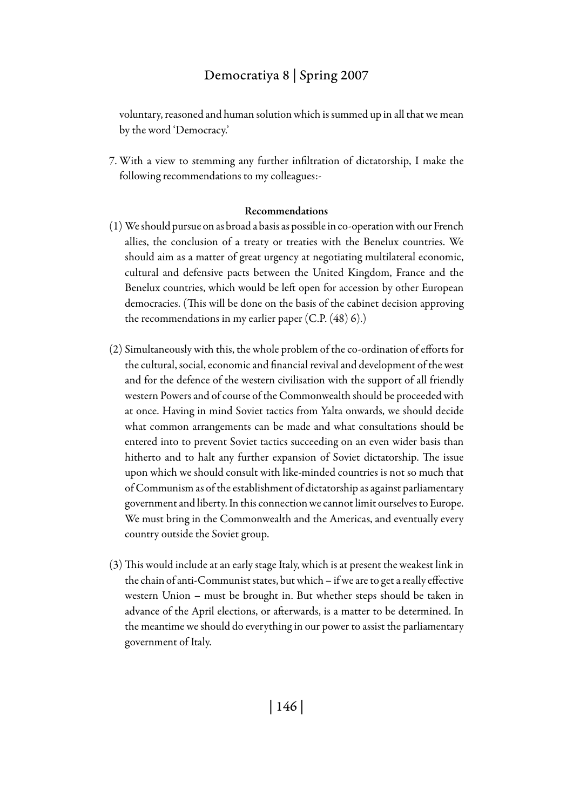voluntary, reasoned and human solution which is summed up in all that we mean by the word 'Democracy.'

7. With a view to stemming any further infiltration of dictatorship, I make the following recommendations to my colleagues:-

#### Recommendations

- (1) We should pursue on as broad a basis as possible in co-operation with our French allies, the conclusion of a treaty or treaties with the Benelux countries. We should aim as a matter of great urgency at negotiating multilateral economic, cultural and defensive pacts between the United Kingdom, France and the Benelux countries, which would be left open for accession by other European democracies. (This will be done on the basis of the cabinet decision approving the recommendations in my earlier paper (C.P. (48) 6).)
- (2) Simultaneously with this, the whole problem of the co-ordination of efforts for the cultural, social, economic and financial revival and development of the west and for the defence of the western civilisation with the support of all friendly western Powers and of course of the Commonwealth should be proceeded with at once. Having in mind Soviet tactics from Yalta onwards, we should decide what common arrangements can be made and what consultations should be entered into to prevent Soviet tactics succeeding on an even wider basis than hitherto and to halt any further expansion of Soviet dictatorship. The issue upon which we should consult with like-minded countries is not so much that of Communism as of the establishment of dictatorship as against parliamentary government and liberty. In this connection we cannot limit ourselves to Europe. We must bring in the Commonwealth and the Americas, and eventually every country outside the Soviet group.
- (3) This would include at an early stage Italy, which is at present the weakest link in the chain of anti-Communist states, but which – if we are to get a really effective western Union – must be brought in. But whether steps should be taken in advance of the April elections, or afterwards, is a matter to be determined. In the meantime we should do everything in our power to assist the parliamentary government of Italy.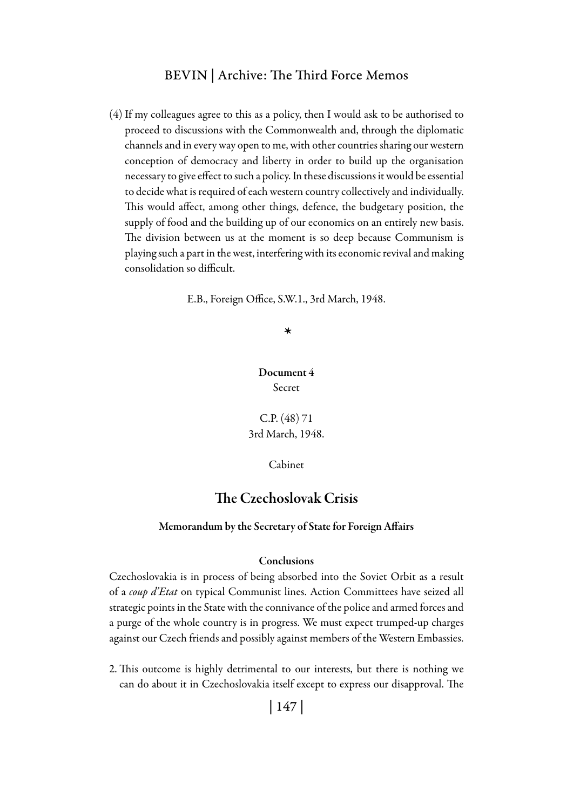(4) If my colleagues agree to this as a policy, then I would ask to be authorised to proceed to discussions with the Commonwealth and, through the diplomatic channels and in every way open to me, with other countries sharing our western conception of democracy and liberty in order to build up the organisation necessary to give effect to such a policy. In these discussions it would be essential to decide what is required of each western country collectively and individually. This would affect, among other things, defence, the budgetary position, the supply of food and the building up of our economics on an entirely new basis. The division between us at the moment is so deep because Communism is playing such a part in the west, interfering with its economic revival and making consolidation so difficult.

E.B., Foreign Office, S.W.1., 3rd March, 1948.

*\**

Document 4 Secret

C.P. (48) 71 3rd March, 1948.

Cabinet

### The Czechoslovak Crisis

#### Memorandum by the Secretary of State for Foreign Affairs

#### **Conclusions**

Czechoslovakia is in process of being absorbed into the Soviet Orbit as a result of a *coup d'Etat* on typical Communist lines. Action Committees have seized all strategic points in the State with the connivance of the police and armed forces and a purge of the whole country is in progress. We must expect trumped-up charges against our Czech friends and possibly against members of the Western Embassies.

2. This outcome is highly detrimental to our interests, but there is nothing we can do about it in Czechoslovakia itself except to express our disapproval. The

| 147 |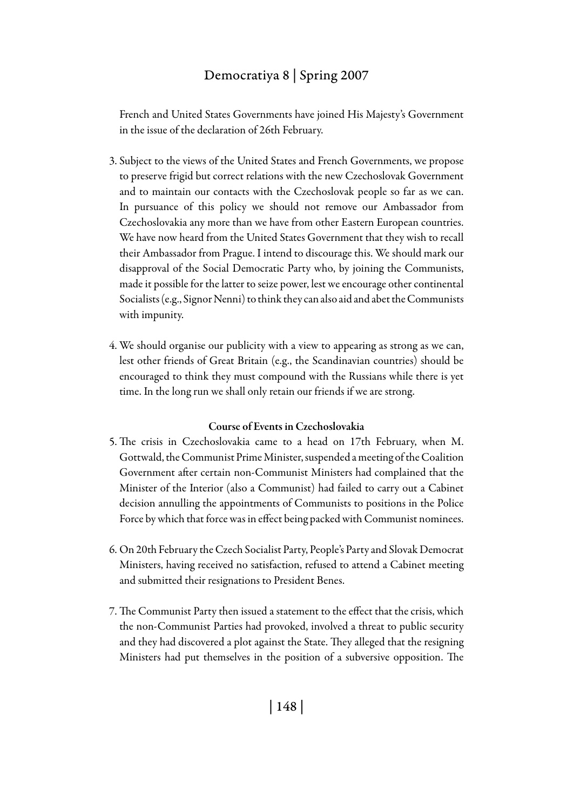French and United States Governments have joined His Majesty's Government in the issue of the declaration of 26th February.

- 3. Subject to the views of the United States and French Governments, we propose to preserve frigid but correct relations with the new Czechoslovak Government and to maintain our contacts with the Czechoslovak people so far as we can. In pursuance of this policy we should not remove our Ambassador from Czechoslovakia any more than we have from other Eastern European countries. We have now heard from the United States Government that they wish to recall their Ambassador from Prague. I intend to discourage this. We should mark our disapproval of the Social Democratic Party who, by joining the Communists, made it possible for the latter to seize power, lest we encourage other continental Socialists (e.g., Signor Nenni) to think they can also aid and abet the Communists with impunity.
- 4. We should organise our publicity with a view to appearing as strong as we can, lest other friends of Great Britain (e.g., the Scandinavian countries) should be encouraged to think they must compound with the Russians while there is yet time. In the long run we shall only retain our friends if we are strong.

#### Course of Events in Czechoslovakia

- 5. The crisis in Czechoslovakia came to a head on 17th February, when M. Gottwald, the Communist Prime Minister, suspended a meeting of the Coalition Government after certain non-Communist Ministers had complained that the Minister of the Interior (also a Communist) had failed to carry out a Cabinet decision annulling the appointments of Communists to positions in the Police Force by which that force was in effect being packed with Communist nominees.
- 6. On 20th February the Czech Socialist Party, People's Party and Slovak Democrat Ministers, having received no satisfaction, refused to attend a Cabinet meeting and submitted their resignations to President Benes.
- 7. The Communist Party then issued a statement to the effect that the crisis, which the non-Communist Parties had provoked, involved a threat to public security and they had discovered a plot against the State. They alleged that the resigning Ministers had put themselves in the position of a subversive opposition. The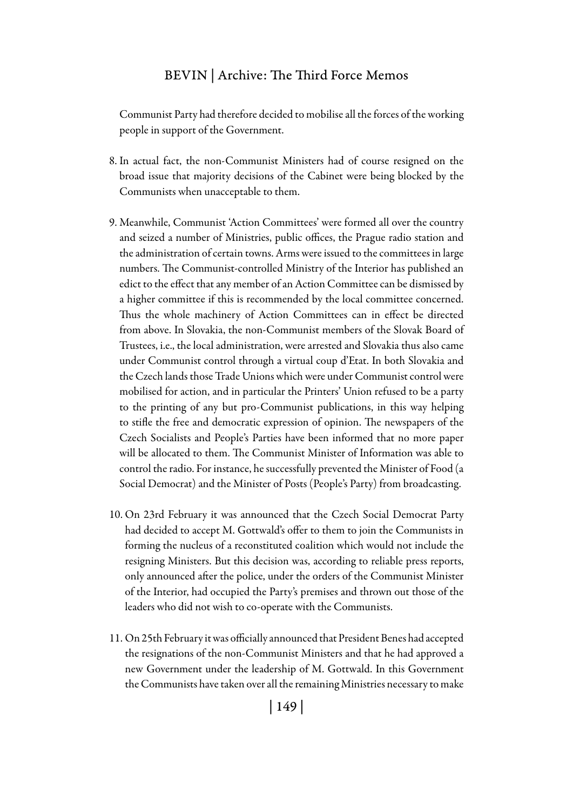Communist Party had therefore decided to mobilise all the forces of the working people in support of the Government.

- 8. In actual fact, the non-Communist Ministers had of course resigned on the broad issue that majority decisions of the Cabinet were being blocked by the Communists when unacceptable to them.
- 9. Meanwhile, Communist 'Action Committees' were formed all over the country and seized a number of Ministries, public offices, the Prague radio station and the administration of certain towns. Arms were issued to the committees in large numbers. The Communist-controlled Ministry of the Interior has published an edict to the effect that any member of an Action Committee can be dismissed by a higher committee if this is recommended by the local committee concerned. Thus the whole machinery of Action Committees can in effect be directed from above. In Slovakia, the non-Communist members of the Slovak Board of Trustees, i.e., the local administration, were arrested and Slovakia thus also came under Communist control through a virtual coup d'Etat. In both Slovakia and the Czech lands those Trade Unions which were under Communist control were mobilised for action, and in particular the Printers' Union refused to be a party to the printing of any but pro-Communist publications, in this way helping to stifle the free and democratic expression of opinion. The newspapers of the Czech Socialists and People's Parties have been informed that no more paper will be allocated to them. The Communist Minister of Information was able to control the radio. For instance, he successfully prevented the Minister of Food (a Social Democrat) and the Minister of Posts (People's Party) from broadcasting.
- 10. On 23rd February it was announced that the Czech Social Democrat Party had decided to accept M. Gottwald's offer to them to join the Communists in forming the nucleus of a reconstituted coalition which would not include the resigning Ministers. But this decision was, according to reliable press reports, only announced after the police, under the orders of the Communist Minister of the Interior, had occupied the Party's premises and thrown out those of the leaders who did not wish to co-operate with the Communists.
- 11. On 25th February it was officially announced that President Benes had accepted the resignations of the non-Communist Ministers and that he had approved a new Government under the leadership of M. Gottwald. In this Government the Communists have taken over all the remaining Ministries necessary to make

| 149 |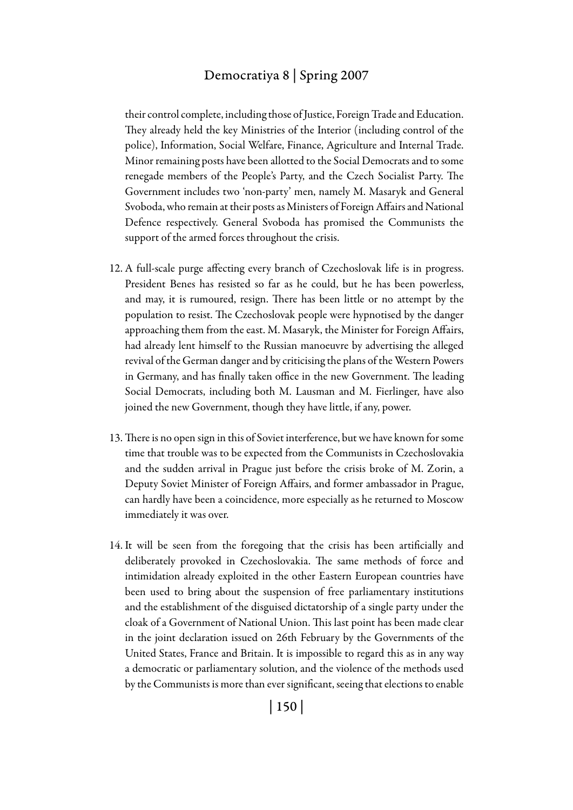their control complete, including those of Justice, Foreign Trade and Education. They already held the key Ministries of the Interior (including control of the police), Information, Social Welfare, Finance, Agriculture and Internal Trade. Minor remaining posts have been allotted to the Social Democrats and to some renegade members of the People's Party, and the Czech Socialist Party. The Government includes two 'non-party' men, namely M. Masaryk and General Svoboda, who remain at their posts as Ministers of Foreign Affairs and National Defence respectively. General Svoboda has promised the Communists the support of the armed forces throughout the crisis.

- 12. A full-scale purge affecting every branch of Czechoslovak life is in progress. President Benes has resisted so far as he could, but he has been powerless, and may, it is rumoured, resign. There has been little or no attempt by the population to resist. The Czechoslovak people were hypnotised by the danger approaching them from the east. M. Masaryk, the Minister for Foreign Affairs, had already lent himself to the Russian manoeuvre by advertising the alleged revival of the German danger and by criticising the plans of the Western Powers in Germany, and has finally taken office in the new Government. The leading Social Democrats, including both M. Lausman and M. Fierlinger, have also joined the new Government, though they have little, if any, power.
- 13. There is no open sign in this of Soviet interference, but we have known for some time that trouble was to be expected from the Communists in Czechoslovakia and the sudden arrival in Prague just before the crisis broke of M. Zorin, a Deputy Soviet Minister of Foreign Affairs, and former ambassador in Prague, can hardly have been a coincidence, more especially as he returned to Moscow immediately it was over.
- 14. It will be seen from the foregoing that the crisis has been artificially and deliberately provoked in Czechoslovakia. The same methods of force and intimidation already exploited in the other Eastern European countries have been used to bring about the suspension of free parliamentary institutions and the establishment of the disguised dictatorship of a single party under the cloak of a Government of National Union. This last point has been made clear in the joint declaration issued on 26th February by the Governments of the United States, France and Britain. It is impossible to regard this as in any way a democratic or parliamentary solution, and the violence of the methods used by the Communists is more than ever significant, seeing that elections to enable

| 150 |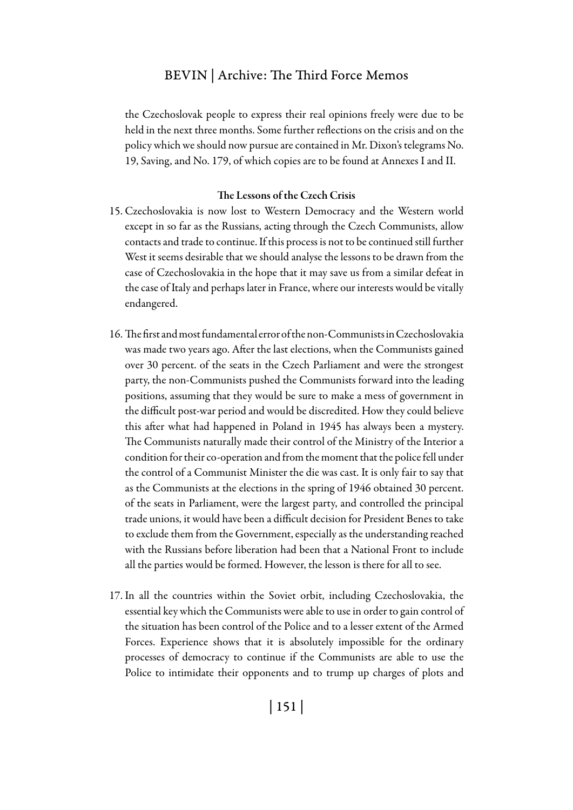the Czechoslovak people to express their real opinions freely were due to be held in the next three months. Some further reflections on the crisis and on the policy which we should now pursue are contained in Mr. Dixon's telegrams No. 19, Saving, and No. 179, of which copies are to be found at Annexes I and II.

#### The Lessons of the Czech Crisis

- 15. Czechoslovakia is now lost to Western Democracy and the Western world except in so far as the Russians, acting through the Czech Communists, allow contacts and trade to continue. If this process is not to be continued still further West it seems desirable that we should analyse the lessons to be drawn from the case of Czechoslovakia in the hope that it may save us from a similar defeat in the case of Italy and perhaps later in France, where our interests would be vitally endangered.
- 16. The first and most fundamental error of the non-Communists in Czechoslovakia was made two years ago. After the last elections, when the Communists gained over 30 percent. of the seats in the Czech Parliament and were the strongest party, the non-Communists pushed the Communists forward into the leading positions, assuming that they would be sure to make a mess of government in the difficult post-war period and would be discredited. How they could believe this after what had happened in Poland in 1945 has always been a mystery. The Communists naturally made their control of the Ministry of the Interior a condition for their co-operation and from the moment that the police fell under the control of a Communist Minister the die was cast. It is only fair to say that as the Communists at the elections in the spring of 1946 obtained 30 percent. of the seats in Parliament, were the largest party, and controlled the principal trade unions, it would have been a difficult decision for President Benes to take to exclude them from the Government, especially as the understanding reached with the Russians before liberation had been that a National Front to include all the parties would be formed. However, the lesson is there for all to see.
- 17. In all the countries within the Soviet orbit, including Czechoslovakia, the essential key which the Communists were able to use in order to gain control of the situation has been control of the Police and to a lesser extent of the Armed Forces. Experience shows that it is absolutely impossible for the ordinary processes of democracy to continue if the Communists are able to use the Police to intimidate their opponents and to trump up charges of plots and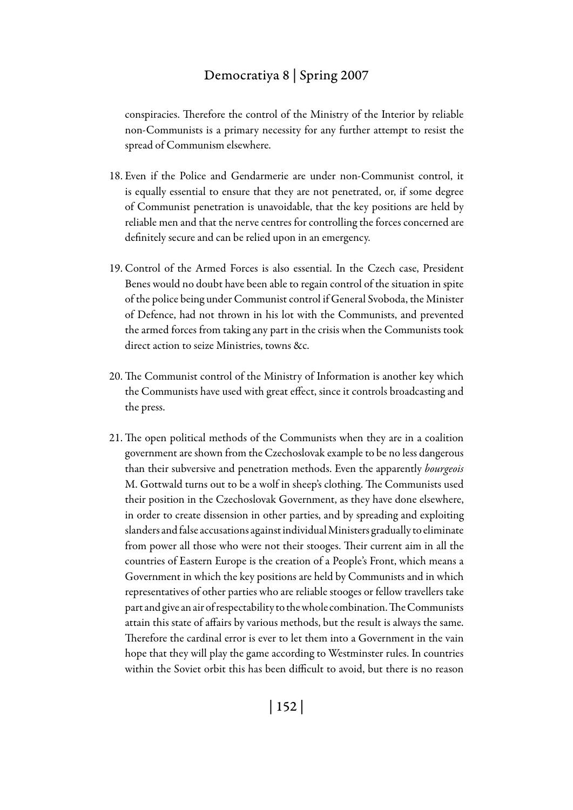conspiracies. Therefore the control of the Ministry of the Interior by reliable non-Communists is a primary necessity for any further attempt to resist the spread of Communism elsewhere.

- 18. Even if the Police and Gendarmerie are under non-Communist control, it is equally essential to ensure that they are not penetrated, or, if some degree of Communist penetration is unavoidable, that the key positions are held by reliable men and that the nerve centres for controlling the forces concerned are definitely secure and can be relied upon in an emergency.
- 19. Control of the Armed Forces is also essential. In the Czech case, President Benes would no doubt have been able to regain control of the situation in spite of the police being under Communist control if General Svoboda, the Minister of Defence, had not thrown in his lot with the Communists, and prevented the armed forces from taking any part in the crisis when the Communists took direct action to seize Ministries, towns &c.
- 20. The Communist control of the Ministry of Information is another key which the Communists have used with great effect, since it controls broadcasting and the press.
- 21. The open political methods of the Communists when they are in a coalition government are shown from the Czechoslovak example to be no less dangerous than their subversive and penetration methods. Even the apparently *bourgeois*  M. Gottwald turns out to be a wolf in sheep's clothing. The Communists used their position in the Czechoslovak Government, as they have done elsewhere, in order to create dissension in other parties, and by spreading and exploiting slanders and false accusations against individual Ministers gradually to eliminate from power all those who were not their stooges. Their current aim in all the countries of Eastern Europe is the creation of a People's Front, which means a Government in which the key positions are held by Communists and in which representatives of other parties who are reliable stooges or fellow travellers take part and give an air of respectability to the whole combination. The Communists attain this state of affairs by various methods, but the result is always the same. Therefore the cardinal error is ever to let them into a Government in the vain hope that they will play the game according to Westminster rules. In countries within the Soviet orbit this has been difficult to avoid, but there is no reason